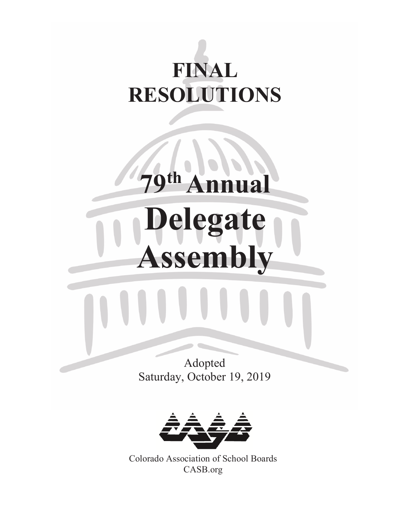# **FINAL RESOLUTIONS**

79<sup>th</sup> Annual

**Delegate** 

**Assembly**





Colorado Association of School Boards CASB.org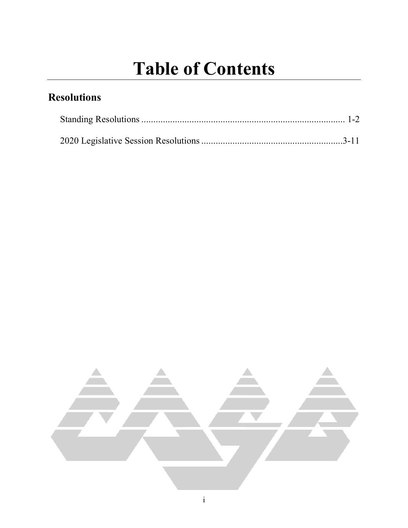### **Table of Contents**

### **Resolutions**

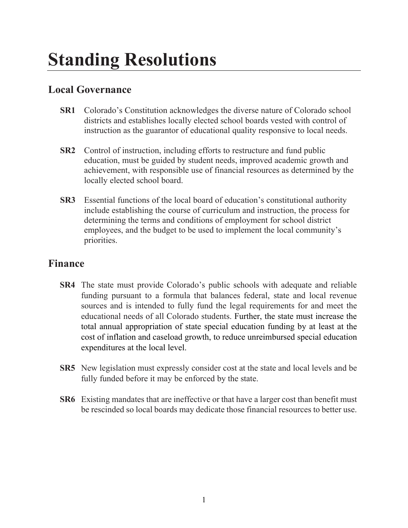#### **Local Governance**

- **SR1** Colorado's Constitution acknowledges the diverse nature of Colorado school districts and establishes locally elected school boards vested with control of instruction as the guarantor of educational quality responsive to local needs.
- **SR2** Control of instruction, including efforts to restructure and fund public education, must be guided by student needs, improved academic growth and achievement, with responsible use of financial resources as determined by the locally elected school board.
- **SR3** Essential functions of the local board of education's constitutional authority include establishing the course of curriculum and instruction, the process for determining the terms and conditions of employment for school district employees, and the budget to be used to implement the local community's priorities.

#### **Finance**

- **SR4** The state must provide Colorado's public schools with adequate and reliable funding pursuant to a formula that balances federal, state and local revenue sources and is intended to fully fund the legal requirements for and meet the educational needs of all Colorado students. Further, the state must increase the total annual appropriation of state special education funding by at least at the cost of inflation and caseload growth, to reduce unreimbursed special education expenditures at the local level.
- **SR5** New legislation must expressly consider cost at the state and local levels and be fully funded before it may be enforced by the state.
- **SR6** Existing mandates that are ineffective or that have a larger cost than benefit must be rescinded so local boards may dedicate those financial resources to better use.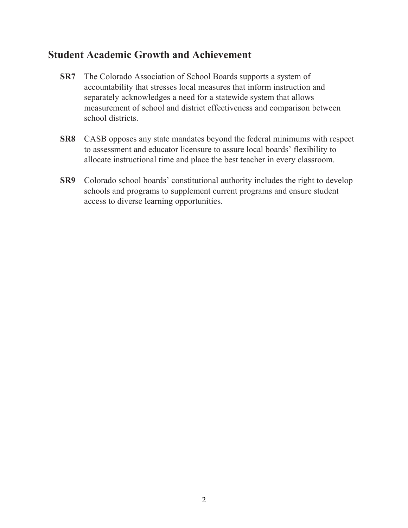#### **Student Academic Growth and Achievement**

- **SR7** The Colorado Association of School Boards supports a system of accountability that stresses local measures that inform instruction and separately acknowledges a need for a statewide system that allows measurement of school and district effectiveness and comparison between school districts.
- **SR8** CASB opposes any state mandates beyond the federal minimums with respect to assessment and educator licensure to assure local boards' flexibility to allocate instructional time and place the best teacher in every classroom.
- **SR9** Colorado school boards' constitutional authority includes the right to develop schools and programs to supplement current programs and ensure student access to diverse learning opportunities.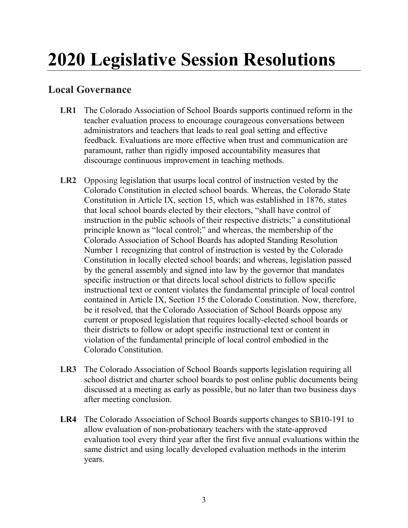## **2020 Legislative Session Resolutions**

#### **Local Governance**

- **LR1** The Colorado Association of School Boards supports continued reform in the teacher evaluation process to encourage courageous conversations between administrators and teachers that leads to real goal setting and effective feedback. Evaluations are more effective when trust and communication are paramount, rather than rigidly imposed accountability measures that discourage continuous improvement in teaching methods.
- **LR2** Opposing legislation that usurps local control of instruction vested by the Colorado Constitution in elected school boards. Whereas, the Colorado State Constitution in Article IX, section 15, which was established in 1876, states that local school boards elected by their electors, "shall have control of instruction in the public schools of their respective districts;" a constitutional principle known as "local control;" and whereas, the membership of the Colorado Association of School Boards has adopted Standing Resolution Number 1 recognizing that control of instruction is vested by the Colorado Constitution in locally elected school boards; and whereas, legislation passed by the general assembly and signed into law by the governor that mandates specific instruction or that directs local school districts to follow specific instructional text or content violates the fundamental principle of local control contained in Article IX, Section 15 the Colorado Constitution. Now, therefore, be it resolved, that the Colorado Association of School Boards oppose any current or proposed legislation that requires locally-elected school boards or their districts to follow or adopt specific instructional text or content in violation of the fundamental principle of local control embodied in the Colorado Constitution.
- **LR3** The Colorado Association of School Boards supports legislation requiring all school district and charter school boards to post online public documents being discussed at a meeting as early as possible, but no later than two business days after meeting conclusion.
- **LR4** The Colorado Association of School Boards supports changes to SB10-191 to allow evaluation of non-probationary teachers with the state-approved evaluation tool every third year after the first five annual evaluations within the same district and using locally developed evaluation methods in the interim years.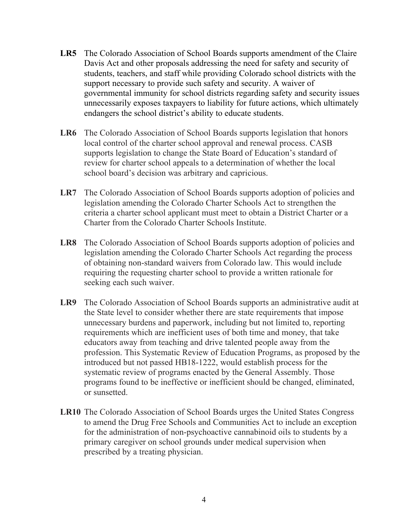- **LR5** The Colorado Association of School Boards supports amendment of the Claire Davis Act and other proposals addressing the need for safety and security of students, teachers, and staff while providing Colorado school districts with the support necessary to provide such safety and security. A waiver of governmental immunity for school districts regarding safety and security issues unnecessarily exposes taxpayers to liability for future actions, which ultimately endangers the school district's ability to educate students.
- **LR6** The Colorado Association of School Boards supports legislation that honors local control of the charter school approval and renewal process. CASB supports legislation to change the State Board of Education's standard of review for charter school appeals to a determination of whether the local school board's decision was arbitrary and capricious.
- LR7 The Colorado Association of School Boards supports adoption of policies and legislation amending the Colorado Charter Schools Act to strengthen the criteria a charter school applicant must meet to obtain a District Charter or a Charter from the Colorado Charter Schools Institute.
- **LR8** The Colorado Association of School Boards supports adoption of policies and legislation amending the Colorado Charter Schools Act regarding the process of obtaining non-standard waivers from Colorado law. This would include requiring the requesting charter school to provide a written rationale for seeking each such waiver.
- **LR9** The Colorado Association of School Boards supports an administrative audit at the State level to consider whether there are state requirements that impose unnecessary burdens and paperwork, including but not limited to, reporting requirements which are inefficient uses of both time and money, that take educators away from teaching and drive talented people away from the profession. This Systematic Review of Education Programs, as proposed by the introduced but not passed HB18-1222, would establish process for the systematic review of programs enacted by the General Assembly. Those programs found to be ineffective or inefficient should be changed, eliminated, or sunsetted.
- **LR10** The Colorado Association of School Boards urges the United States Congress to amend the Drug Free Schools and Communities Act to include an exception for the administration of non-psychoactive cannabinoid oils to students by a primary caregiver on school grounds under medical supervision when prescribed by a treating physician.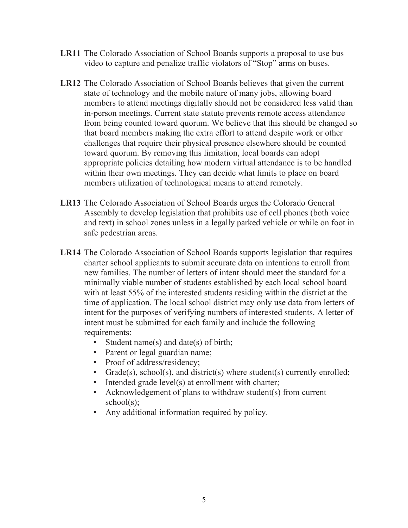- **LR11** The Colorado Association of School Boards supports a proposal to use bus video to capture and penalize traffic violators of "Stop" arms on buses.
- **LR12** The Colorado Association of School Boards believes that given the current state of technology and the mobile nature of many jobs, allowing board members to attend meetings digitally should not be considered less valid than in-person meetings. Current state statute prevents remote access attendance from being counted toward quorum. We believe that this should be changed so that board members making the extra effort to attend despite work or other challenges that require their physical presence elsewhere should be counted toward quorum. By removing this limitation, local boards can adopt appropriate policies detailing how modern virtual attendance is to be handled within their own meetings. They can decide what limits to place on board members utilization of technological means to attend remotely.
- **LR13** The Colorado Association of School Boards urges the Colorado General Assembly to develop legislation that prohibits use of cell phones (both voice and text) in school zones unless in a legally parked vehicle or while on foot in safe pedestrian areas.
- **LR14** The Colorado Association of School Boards supports legislation that requires charter school applicants to submit accurate data on intentions to enroll from new families. The number of letters of intent should meet the standard for a minimally viable number of students established by each local school board with at least 55% of the interested students residing within the district at the time of application. The local school district may only use data from letters of intent for the purposes of verifying numbers of interested students. A letter of intent must be submitted for each family and include the following requirements:
	- Student name(s) and date(s) of birth;
	- Parent or legal guardian name;
	- Proof of address/residency;
	- Grade(s), school(s), and district(s) where student(s) currently enrolled;
	- Intended grade level(s) at enrollment with charter;
	- Acknowledgement of plans to withdraw student(s) from current  $school(s)$ :
	- Any additional information required by policy.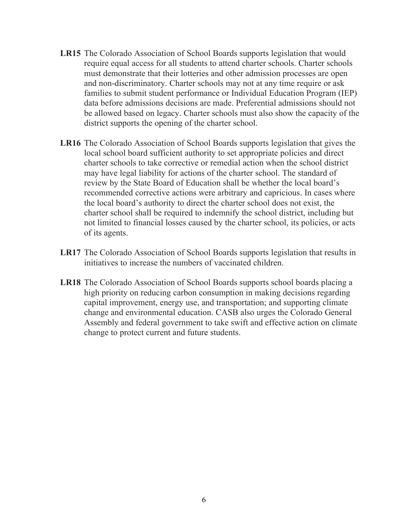- **LR15** The Colorado Association of School Boards supports legislation that would require equal access for all students to attend charter schools. Charter schools must demonstrate that their lotteries and other admission processes are open and non-discriminatory. Charter schools may not at any time require or ask families to submit student performance or Individual Education Program (IEP) data before admissions decisions are made. Preferential admissions should not be allowed based on legacy. Charter schools must also show the capacity of the district supports the opening of the charter school.
- **LR16** The Colorado Association of School Boards supports legislation that gives the local school board sufficient authority to set appropriate policies and direct charter schools to take corrective or remedial action when the school district may have legal liability for actions of the charter school. The standard of review by the State Board of Education shall be whether the local board's recommended corrective actions were arbitrary and capricious. In cases where the local board's authority to direct the charter school does not exist, the charter school shall be required to indemnify the school district, including but not limited to financial losses caused by the charter school, its policies, or acts of its agents.
- **LR17** The Colorado Association of School Boards supports legislation that results in initiatives to increase the numbers of vaccinated children.
- **LR18** The Colorado Association of School Boards supports school boards placing a high priority on reducing carbon consumption in making decisions regarding capital improvement, energy use, and transportation; and supporting climate change and environmental education. CASB also urges the Colorado General Assembly and federal government to take swift and effective action on climate change to protect current and future students.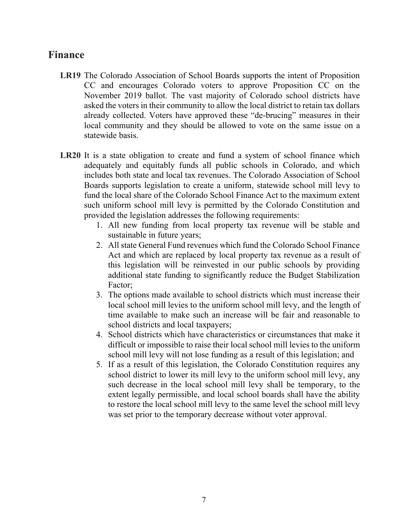#### **Finance**

- **LR19** The Colorado Association of School Boards supports the intent of Proposition CC and encourages Colorado voters to approve Proposition CC on the November 2019 ballot. The vast majority of Colorado school districts have asked the voters in their community to allow the local district to retain tax dollars already collected. Voters have approved these "de-brucing" measures in their local community and they should be allowed to vote on the same issue on a statewide basis.
- **LR20** It is a state obligation to create and fund a system of school finance which adequately and equitably funds all public schools in Colorado, and which includes both state and local tax revenues. The Colorado Association of School Boards supports legislation to create a uniform, statewide school mill levy to fund the local share of the Colorado School Finance Act to the maximum extent such uniform school mill levy is permitted by the Colorado Constitution and provided the legislation addresses the following requirements:
	- 1. All new funding from local property tax revenue will be stable and sustainable in future years;
	- 2. All state General Fund revenues which fund the Colorado School Finance Act and which are replaced by local property tax revenue as a result of this legislation will be reinvested in our public schools by providing additional state funding to significantly reduce the Budget Stabilization Factor;
	- 3. The options made available to school districts which must increase their local school mill levies to the uniform school mill levy, and the length of time available to make such an increase will be fair and reasonable to school districts and local taxpayers;
	- 4. School districts which have characteristics or circumstances that make it difficult or impossible to raise their local school mill levies to the uniform school mill levy will not lose funding as a result of this legislation; and
	- 5. If as a result of this legislation, the Colorado Constitution requires any school district to lower its mill levy to the uniform school mill levy, any such decrease in the local school mill levy shall be temporary, to the extent legally permissible, and local school boards shall have the ability to restore the local school mill levy to the same level the school mill levy was set prior to the temporary decrease without voter approval.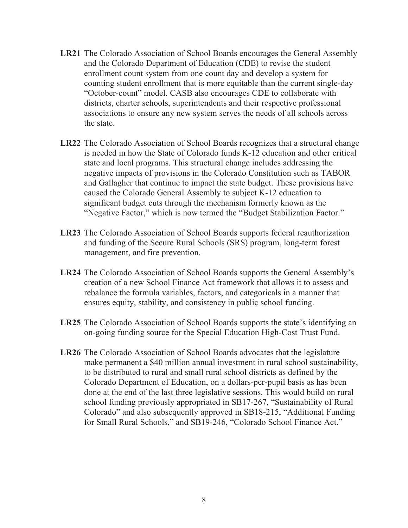- **LR21** The Colorado Association of School Boards encourages the General Assembly and the Colorado Department of Education (CDE) to revise the student enrollment count system from one count day and develop a system for counting student enrollment that is more equitable than the current single-day "October-count" model. CASB also encourages CDE to collaborate with districts, charter schools, superintendents and their respective professional associations to ensure any new system serves the needs of all schools across the state.
- **LR22** The Colorado Association of School Boards recognizes that a structural change is needed in how the State of Colorado funds K-12 education and other critical state and local programs. This structural change includes addressing the negative impacts of provisions in the Colorado Constitution such as TABOR and Gallagher that continue to impact the state budget. These provisions have caused the Colorado General Assembly to subject K-12 education to significant budget cuts through the mechanism formerly known as the "Negative Factor," which is now termed the "Budget Stabilization Factor."
- **LR23** The Colorado Association of School Boards supports federal reauthorization and funding of the Secure Rural Schools (SRS) program, long-term forest management, and fire prevention.
- **LR24** The Colorado Association of School Boards supports the General Assembly's creation of a new School Finance Act framework that allows it to assess and rebalance the formula variables, factors, and categoricals in a manner that ensures equity, stability, and consistency in public school funding.
- **LR25** The Colorado Association of School Boards supports the state's identifying an on-going funding source for the Special Education High-Cost Trust Fund.
- **LR26** The Colorado Association of School Boards advocates that the legislature make permanent a \$40 million annual investment in rural school sustainability, to be distributed to rural and small rural school districts as defined by the Colorado Department of Education, on a dollars-per-pupil basis as has been done at the end of the last three legislative sessions. This would build on rural school funding previously appropriated in SB17-267, "Sustainability of Rural Colorado" and also subsequently approved in SB18-215, "Additional Funding for Small Rural Schools," and SB19-246, "Colorado School Finance Act."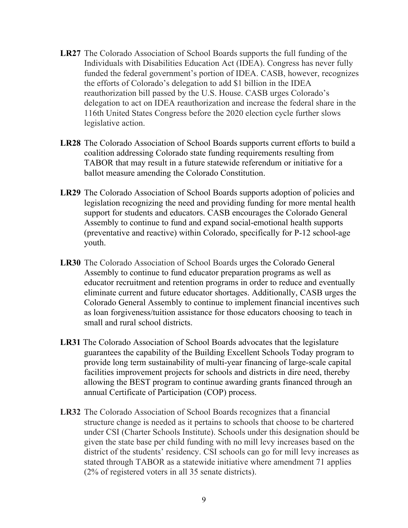- **LR27** The Colorado Association of School Boards supports the full funding of the Individuals with Disabilities Education Act (IDEA). Congress has never fully funded the federal government's portion of IDEA. CASB, however, recognizes the efforts of Colorado's delegation to add \$1 billion in the IDEA reauthorization bill passed by the U.S. House. CASB urges Colorado's delegation to act on IDEA reauthorization and increase the federal share in the 116th United States Congress before the 2020 election cycle further slows legislative action.
- **LR28** The Colorado Association of School Boards supports current efforts to build a coalition addressing Colorado state funding requirements resulting from TABOR that may result in a future statewide referendum or initiative for a ballot measure amending the Colorado Constitution.
- **LR29** The Colorado Association of School Boards supports adoption of policies and legislation recognizing the need and providing funding for more mental health support for students and educators. CASB encourages the Colorado General Assembly to continue to fund and expand social-emotional health supports (preventative and reactive) within Colorado, specifically for P-12 school-age youth.
- **LR30** The Colorado Association of School Boards urges the Colorado General Assembly to continue to fund educator preparation programs as well as educator recruitment and retention programs in order to reduce and eventually eliminate current and future educator shortages. Additionally, CASB urges the Colorado General Assembly to continue to implement financial incentives such as loan forgiveness/tuition assistance for those educators choosing to teach in small and rural school districts.
- **LR31** The Colorado Association of School Boards advocates that the legislature guarantees the capability of the Building Excellent Schools Today program to provide long term sustainability of multi-year financing of large-scale capital facilities improvement projects for schools and districts in dire need, thereby allowing the BEST program to continue awarding grants financed through an annual Certificate of Participation (COP) process.
- **LR32** The Colorado Association of School Boards recognizes that a financial structure change is needed as it pertains to schools that choose to be chartered under CSI (Charter Schools Institute). Schools under this designation should be given the state base per child funding with no mill levy increases based on the district of the students' residency. CSI schools can go for mill levy increases as stated through TABOR as a statewide initiative where amendment 71 applies (2% of registered voters in all 35 senate districts).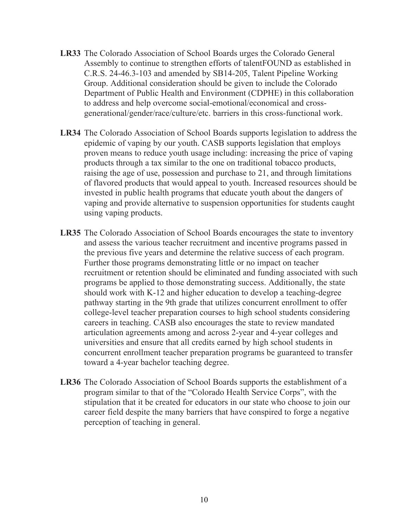- **LR33** The Colorado Association of School Boards urges the Colorado General Assembly to continue to strengthen efforts of talentFOUND as established in C.R.S. 24-46.3-103 and amended by SB14-205, Talent Pipeline Working Group. Additional consideration should be given to include the Colorado Department of Public Health and Environment (CDPHE) in this collaboration to address and help overcome social-emotional/economical and crossgenerational/gender/race/culture/etc. barriers in this cross-functional work.
- **LR34** The Colorado Association of School Boards supports legislation to address the epidemic of vaping by our youth. CASB supports legislation that employs proven means to reduce youth usage including: increasing the price of vaping products through a tax similar to the one on traditional tobacco products, raising the age of use, possession and purchase to 21, and through limitations of flavored products that would appeal to youth. Increased resources should be invested in public health programs that educate youth about the dangers of vaping and provide alternative to suspension opportunities for students caught using vaping products.
- **LR35** The Colorado Association of School Boards encourages the state to inventory and assess the various teacher recruitment and incentive programs passed in the previous five years and determine the relative success of each program. Further those programs demonstrating little or no impact on teacher recruitment or retention should be eliminated and funding associated with such programs be applied to those demonstrating success. Additionally, the state should work with K-12 and higher education to develop a teaching-degree pathway starting in the 9th grade that utilizes concurrent enrollment to offer college-level teacher preparation courses to high school students considering careers in teaching. CASB also encourages the state to review mandated articulation agreements among and across 2-year and 4-year colleges and universities and ensure that all credits earned by high school students in concurrent enrollment teacher preparation programs be guaranteed to transfer toward a 4-year bachelor teaching degree.
- **LR36** The Colorado Association of School Boards supports the establishment of a program similar to that of the "Colorado Health Service Corps", with the stipulation that it be created for educators in our state who choose to join our career field despite the many barriers that have conspired to forge a negative perception of teaching in general.